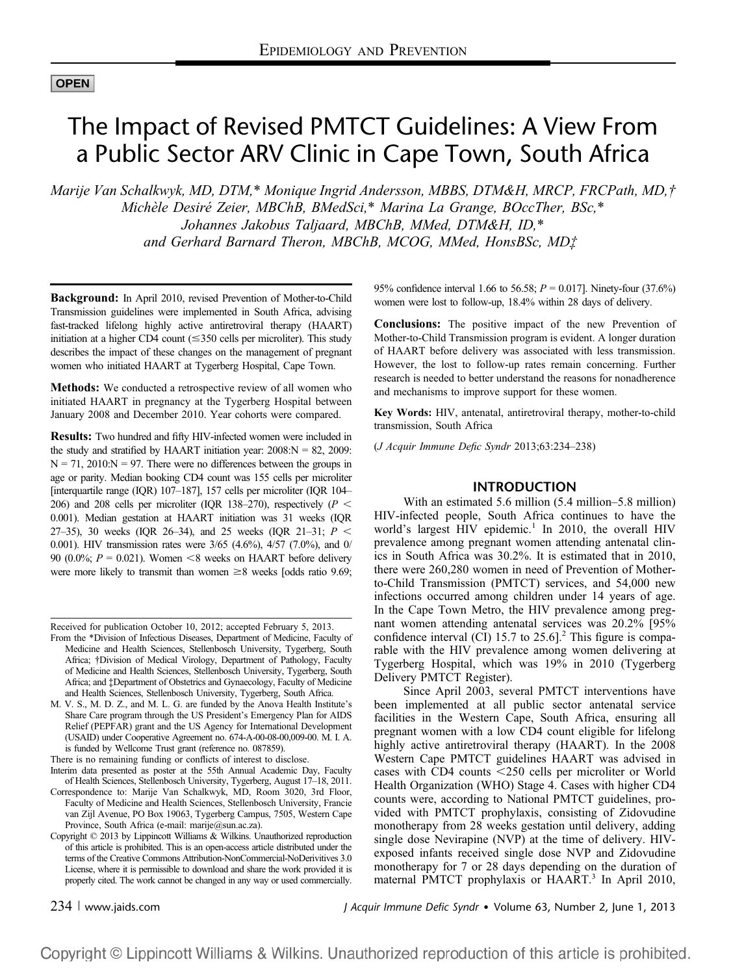# **OPEN**

# The Impact of Revised PMTCT Guidelines: A View From a Public Sector ARV Clinic in Cape Town, South Africa

Marije Van Schalkwyk, MD, DTM,\* Monique Ingrid Andersson, MBBS, DTM&H, MRCP, FRCPath, MD,† Michèle Desiré Zeier, MBChB, BMedSci,\* Marina La Grange, BOccTher, BSc,\* Johannes Jakobus Taljaard, MBChB, MMed, DTM&H, ID,\* and Gerhard Barnard Theron, MBChB, MCOG, MMed, HonsBSc, MD‡

Background: In April 2010, revised Prevention of Mother-to-Child Transmission guidelines were implemented in South Africa, advising fast-tracked lifelong highly active antiretroviral therapy (HAART) initiation at a higher CD4 count  $(\leq 350$  cells per microliter). This study describes the impact of these changes on the management of pregnant women who initiated HAART at Tygerberg Hospital, Cape Town.

Methods: We conducted a retrospective review of all women who initiated HAART in pregnancy at the Tygerberg Hospital between January 2008 and December 2010. Year cohorts were compared.

Results: Two hundred and fifty HIV-infected women were included in the study and stratified by HAART initiation year:  $2008:N = 82, 2009$ :  $N = 71, 2010:N = 97$ . There were no differences between the groups in age or parity. Median booking CD4 count was 155 cells per microliter [interquartile range (IQR) 107–187], 157 cells per microliter (IQR 104– 206) and 208 cells per microliter (IQR 138–270), respectively ( $P <$ 0.001). Median gestation at HAART initiation was 31 weeks (IQR 27–35), 30 weeks (IQR 26–34), and 25 weeks (IQR 21–31;  $P <$ 0.001). HIV transmission rates were 3/65 (4.6%), 4/57 (7.0%), and 0/ 90 (0.0%;  $P = 0.021$ ). Women <8 weeks on HAART before delivery were more likely to transmit than women  $\geq 8$  weeks [odds ratio 9.69;

Received for publication October 10, 2012; accepted February 5, 2013.

There is no remaining funding or conflicts of interest to disclose.

95% confidence interval 1.66 to 56.58;  $P = 0.017$ ]. Ninety-four (37.6%) women were lost to follow-up, 18.4% within 28 days of delivery.

Conclusions: The positive impact of the new Prevention of Mother-to-Child Transmission program is evident. A longer duration of HAART before delivery was associated with less transmission. However, the lost to follow-up rates remain concerning. Further research is needed to better understand the reasons for nonadherence and mechanisms to improve support for these women.

Key Words: HIV, antenatal, antiretroviral therapy, mother-to-child transmission, South Africa

(J Acquir Immune Defic Syndr 2013;63:234–238)

# INTRODUCTION

With an estimated 5.6 million (5.4 million–5.8 million) HIV-infected people, South Africa continues to have the world's largest HIV epidemic.<sup>1</sup> In 2010, the overall HIV prevalence among pregnant women attending antenatal clinics in South Africa was 30.2%. It is estimated that in 2010, there were 260,280 women in need of Prevention of Motherto-Child Transmission (PMTCT) services, and 54,000 new infections occurred among children under 14 years of age. In the Cape Town Metro, the HIV prevalence among pregnant women attending antenatal services was 20.2% [95% confidence interval (CI) 15.7 to  $25.6$ ].<sup>2</sup> This figure is comparable with the HIV prevalence among women delivering at Tygerberg Hospital, which was 19% in 2010 (Tygerberg Delivery PMTCT Register).

Since April 2003, several PMTCT interventions have been implemented at all public sector antenatal service facilities in the Western Cape, South Africa, ensuring all pregnant women with a low CD4 count eligible for lifelong highly active antiretroviral therapy (HAART). In the 2008 Western Cape PMTCT guidelines HAART was advised in cases with CD4 counts  $\leq$ 250 cells per microliter or World Health Organization (WHO) Stage 4. Cases with higher CD4 counts were, according to National PMTCT guidelines, provided with PMTCT prophylaxis, consisting of Zidovudine monotherapy from 28 weeks gestation until delivery, adding single dose Nevirapine (NVP) at the time of delivery. HIVexposed infants received single dose NVP and Zidovudine monotherapy for 7 or 28 days depending on the duration of maternal PMTCT prophylaxis or HAART.<sup>3</sup> In April 2010,

234 <sup>|</sup> www.jaids.com J Acquir Immune Defic Syndr Volume 63, Number 2, June 1, 2013

From the \*Division of Infectious Diseases, Department of Medicine, Faculty of Medicine and Health Sciences, Stellenbosch University, Tygerberg, South Africa; †Division of Medical Virology, Department of Pathology, Faculty of Medicine and Health Sciences, Stellenbosch University, Tygerberg, South Africa; and ‡Department of Obstetrics and Gynaecology, Faculty of Medicine and Health Sciences, Stellenbosch University, Tygerberg, South Africa.

M. V. S., M. D. Z., and M. L. G. are funded by the Anova Health Institute's Share Care program through the US President's Emergency Plan for AIDS Relief (PEPFAR) grant and the US Agency for International Development (USAID) under Cooperative Agreement no. 674-A-00-08-00,009-00. M. I. A. is funded by Wellcome Trust grant (reference no. 087859).

Interim data presented as poster at the 55th Annual Academic Day, Faculty of Health Sciences, Stellenbosch University, Tygerberg, August 17–18, 2011. Correspondence to: Marije Van Schalkwyk, MD, Room 3020, 3rd Floor,

Faculty of Medicine and Health Sciences, Stellenbosch University, Francie van Zijl Avenue, PO Box 19063, Tygerberg Campus, 7505, Western Cape Province, South Africa (e-mail: marije@sun.ac.za).

Copyright © 2013 by Lippincott Williams & Wilkins. Unauthorized reproduction of this article is prohibited. This is an open-access article distributed under the terms of the Creative Commons Attribution-NonCommercial-NoDerivitives 3.0 License, where it is permissible to download and share the work provided it is properly cited. The work cannot be changed in any way or used commercially.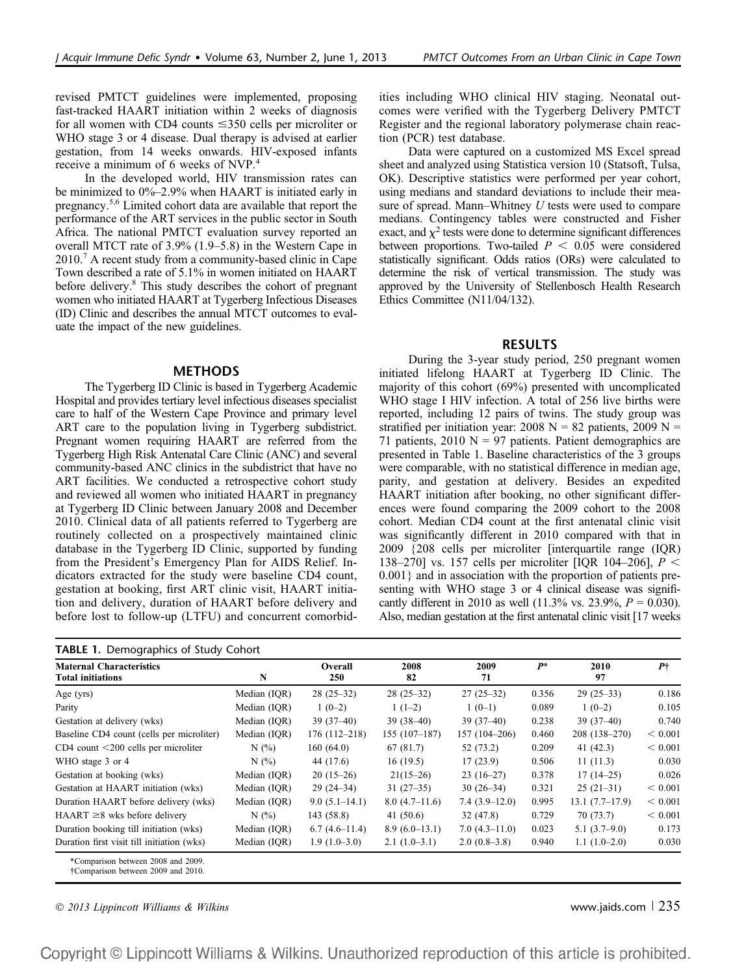revised PMTCT guidelines were implemented, proposing fast-tracked HAART initiation within 2 weeks of diagnosis for all women with CD4 counts  $\leq$ 350 cells per microliter or WHO stage 3 or 4 disease. Dual therapy is advised at earlier gestation, from 14 weeks onwards. HIV-exposed infants receive a minimum of 6 weeks of NVP.<sup>4</sup>

In the developed world, HIV transmission rates can be minimized to 0%–2.9% when HAART is initiated early in pregnancy.5,6 Limited cohort data are available that report the performance of the ART services in the public sector in South Africa. The national PMTCT evaluation survey reported an overall MTCT rate of 3.9% (1.9–5.8) in the Western Cape in 2010.<sup>7</sup> A recent study from a community-based clinic in Cape Town described a rate of 5.1% in women initiated on HAART before delivery.<sup>8</sup> This study describes the cohort of pregnant women who initiated HAART at Tygerberg Infectious Diseases (ID) Clinic and describes the annual MTCT outcomes to evaluate the impact of the new guidelines.

## METHODS

The Tygerberg ID Clinic is based in Tygerberg Academic Hospital and provides tertiary level infectious diseases specialist care to half of the Western Cape Province and primary level ART care to the population living in Tygerberg subdistrict. Pregnant women requiring HAART are referred from the Tygerberg High Risk Antenatal Care Clinic (ANC) and several community-based ANC clinics in the subdistrict that have no ART facilities. We conducted a retrospective cohort study and reviewed all women who initiated HAART in pregnancy at Tygerberg ID Clinic between January 2008 and December 2010. Clinical data of all patients referred to Tygerberg are routinely collected on a prospectively maintained clinic database in the Tygerberg ID Clinic, supported by funding from the President's Emergency Plan for AIDS Relief. Indicators extracted for the study were baseline CD4 count, gestation at booking, first ART clinic visit, HAART initiation and delivery, duration of HAART before delivery and before lost to follow-up (LTFU) and concurrent comorbidities including WHO clinical HIV staging. Neonatal outcomes were verified with the Tygerberg Delivery PMTCT Register and the regional laboratory polymerase chain reaction (PCR) test database.

Data were captured on a customized MS Excel spread sheet and analyzed using Statistica version 10 (Statsoft, Tulsa, OK). Descriptive statistics were performed per year cohort, using medians and standard deviations to include their measure of spread. Mann–Whitney U tests were used to compare medians. Contingency tables were constructed and Fisher exact, and  $\chi^2$  tests were done to determine significant differences between proportions. Two-tailed  $P < 0.05$  were considered statistically significant. Odds ratios (ORs) were calculated to determine the risk of vertical transmission. The study was approved by the University of Stellenbosch Health Research Ethics Committee (N11/04/132).

#### RESULTS

During the 3-year study period, 250 pregnant women initiated lifelong HAART at Tygerberg ID Clinic. The majority of this cohort (69%) presented with uncomplicated WHO stage I HIV infection. A total of 256 live births were reported, including 12 pairs of twins. The study group was stratified per initiation year: 2008  $N = 82$  patients, 2009  $N =$ 71 patients,  $2010 \text{ N} = 97$  patients. Patient demographics are presented in Table 1. Baseline characteristics of the 3 groups were comparable, with no statistical difference in median age, parity, and gestation at delivery. Besides an expedited HAART initiation after booking, no other significant differences were found comparing the 2009 cohort to the 2008 cohort. Median CD4 count at the first antenatal clinic visit was significantly different in 2010 compared with that in 2009 {208 cells per microliter [interquartile range (IQR) 138–270] vs. 157 cells per microliter [IQR 104–206],  $P <$ 0.001} and in association with the proportion of patients presenting with WHO stage 3 or 4 clinical disease was significantly different in 2010 as well (11.3% vs. 23.9%,  $P = 0.030$ ). Also, median gestation at the first antenatal clinic visit [17 weeks

| <b>Maternal Characteristics</b><br><b>Total initiations</b>                          | N            | Overall<br>250   | 2008<br>82      | 2009<br>71      | $P^*$ | 2010<br>97       | P <sub>1</sub> |
|--------------------------------------------------------------------------------------|--------------|------------------|-----------------|-----------------|-------|------------------|----------------|
| Age $(yrs)$                                                                          | Median (IQR) | $28(25-32)$      | $28(25-32)$     | $27(25-32)$     | 0.356 | $29(25-33)$      | 0.186          |
| Parity                                                                               | Median (IQR) | $1(0-2)$         | $1(1-2)$        | $1(0-1)$        | 0.089 | $1(0-2)$         | 0.105          |
| Gestation at delivery (wks)                                                          | Median (IQR) | $39(37-40)$      | $39(38-40)$     | $39(37-40)$     | 0.238 | $39(37-40)$      | 0.740          |
| Baseline CD4 count (cells per microliter)                                            | Median (IOR) | $176(112 - 218)$ | $155(107-187)$  | 157 (104-206)   | 0.460 | $208(138-270)$   | < 0.001        |
| $CD4$ count $\leq$ 200 cells per microliter                                          | N(%)         | 160(64.0)        | 67(81.7)        | 52 (73.2)       | 0.209 | 41 $(42.3)$      | < 0.001        |
| WHO stage 3 or 4                                                                     | N(%)         | 44 (17.6)        | 16(19.5)        | 17(23.9)        | 0.506 | 11(11.3)         | 0.030          |
| Gestation at booking (wks)                                                           | Median (IOR) | $20(15-26)$      | $21(15-26)$     | $23(16-27)$     | 0.378 | $17(14-25)$      | 0.026          |
| Gestation at HAART initiation (wks)                                                  | Median (IQR) | $29(24-34)$      | $31(27-35)$     | $30(26-34)$     | 0.321 | $25(21-31)$      | < 0.001        |
| Duration HAART before delivery (wks)                                                 | Median (IOR) | $9.0(5.1-14.1)$  | $8.0(4.7-11.6)$ | $7.4(3.9-12.0)$ | 0.995 | $13.1(7.7-17.9)$ | < 0.001        |
| $HAART \geq 8$ wks before delivery                                                   | N(%)         | 143 (58.8)       | 41 $(50.6)$     | 32(47.8)        | 0.729 | 70(73.7)         | < 0.001        |
| Duration booking till initiation (wks)                                               | Median (IQR) | $6.7(4.6-11.4)$  | $8.9(6.0-13.1)$ | $7.0(4.3-11.0)$ | 0.023 | $5.1(3.7-9.0)$   | 0.173          |
| Duration first visit till initiation (wks)                                           | Median (IQR) | $1.9(1.0-3.0)$   | $2.1(1.0-3.1)$  | $2.0(0.8-3.8)$  | 0.940 | $1.1(1.0-2.0)$   | 0.030          |
| *Comparison between 2008 and 2009.<br><sup>†</sup> Comparison between 2009 and 2010. |              |                  |                 |                 |       |                  |                |

 $\degree$  2013 Lippincott Williams & Wilkins www.jaids.com | 235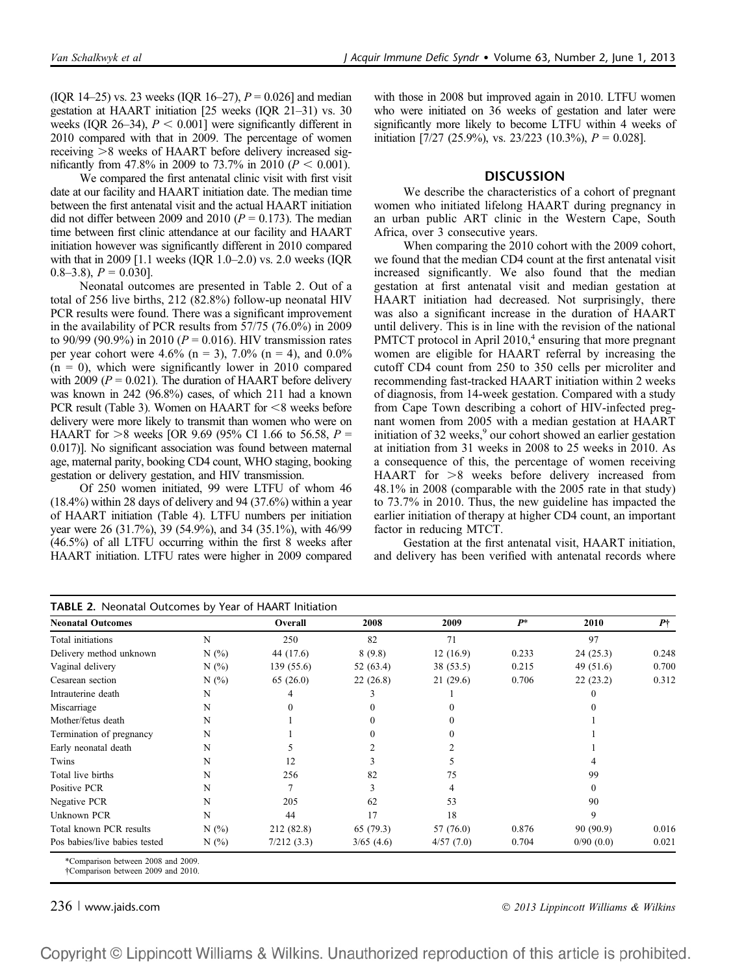(IQR 14–25) vs. 23 weeks (IQR 16–27),  $P = 0.026$ ] and median gestation at HAART initiation [25 weeks (IQR 21–31) vs. 30 weeks (IQR 26–34),  $P < 0.001$ ] were significantly different in 2010 compared with that in 2009. The percentage of women receiving  $>8$  weeks of HAART before delivery increased significantly from 47.8% in 2009 to 73.7% in 2010 ( $P < 0.001$ ).

We compared the first antenatal clinic visit with first visit date at our facility and HAART initiation date. The median time between the first antenatal visit and the actual HAART initiation did not differ between 2009 and 2010 ( $P = 0.173$ ). The median time between first clinic attendance at our facility and HAART initiation however was significantly different in 2010 compared with that in 2009 [1.1 weeks (IQR 1.0–2.0) vs. 2.0 weeks (IQR  $(0.8-3.8), P = 0.030$ .

Neonatal outcomes are presented in Table 2. Out of a total of 256 live births, 212 (82.8%) follow-up neonatal HIV PCR results were found. There was a significant improvement in the availability of PCR results from 57/75 (76.0%) in 2009 to 90/99 (90.9%) in 2010 ( $P = 0.016$ ). HIV transmission rates per year cohort were 4.6% (n = 3), 7.0% (n = 4), and 0.0%  $(n = 0)$ , which were significantly lower in 2010 compared with 2009 ( $P = 0.021$ ). The duration of HAART before delivery was known in 242 (96.8%) cases, of which 211 had a known PCR result (Table 3). Women on HAART for  $\leq$ 8 weeks before delivery were more likely to transmit than women who were on HAART for  $>8$  weeks [OR 9.69 (95% CI 1.66 to 56.58, P = 0.017)]. No significant association was found between maternal age, maternal parity, booking CD4 count, WHO staging, booking gestation or delivery gestation, and HIV transmission.

Of 250 women initiated, 99 were LTFU of whom 46 (18.4%) within 28 days of delivery and 94 (37.6%) within a year of HAART initiation (Table 4). LTFU numbers per initiation year were 26 (31.7%), 39 (54.9%), and 34 (35.1%), with 46/99 (46.5%) of all LTFU occurring within the first 8 weeks after HAART initiation. LTFU rates were higher in 2009 compared

with those in 2008 but improved again in 2010. LTFU women who were initiated on 36 weeks of gestation and later were significantly more likely to become LTFU within 4 weeks of initiation [7/27 (25.9%), vs. 23/223 (10.3%),  $P = 0.028$ ].

## **DISCUSSION**

We describe the characteristics of a cohort of pregnant women who initiated lifelong HAART during pregnancy in an urban public ART clinic in the Western Cape, South Africa, over 3 consecutive years.

When comparing the 2010 cohort with the 2009 cohort, we found that the median CD4 count at the first antenatal visit increased significantly. We also found that the median gestation at first antenatal visit and median gestation at HAART initiation had decreased. Not surprisingly, there was also a significant increase in the duration of HAART until delivery. This is in line with the revision of the national PMTCT protocol in April  $2010<sup>4</sup>$  ensuring that more pregnant women are eligible for HAART referral by increasing the cutoff CD4 count from 250 to 350 cells per microliter and recommending fast-tracked HAART initiation within 2 weeks of diagnosis, from 14-week gestation. Compared with a study from Cape Town describing a cohort of HIV-infected pregnant women from 2005 with a median gestation at HAART initiation of 32 weeks,<sup>9</sup> our cohort showed an earlier gestation at initiation from 31 weeks in 2008 to 25 weeks in 2010. As a consequence of this, the percentage of women receiving HAART for  $>8$  weeks before delivery increased from 48.1% in 2008 (comparable with the 2005 rate in that study) to 73.7% in 2010. Thus, the new guideline has impacted the earlier initiation of therapy at higher CD4 count, an important factor in reducing MTCT.

Gestation at the first antenatal visit, HAART initiation, and delivery has been verified with antenatal records where

| <b>Neonatal Outcomes</b>      |     | Overall    | 2008      | 2009      | $P^*$ | 2010      | P†    |
|-------------------------------|-----|------------|-----------|-----------|-------|-----------|-------|
| Total initiations             | N   | 250        | 82        | 71        |       | 97        |       |
| Delivery method unknown       | N(% | 44 (17.6)  | 8(9.8)    | 12(16.9)  | 0.233 | 24(25.3)  | 0.248 |
| Vaginal delivery              | N(% | 139(55.6)  | 52 (63.4) | 38 (53.5) | 0.215 | 49 (51.6) | 0.700 |
| Cesarean section              | N(% | 65(26.0)   | 22(26.8)  | 21(29.6)  | 0.706 | 22(23.2)  | 0.312 |
| Intrauterine death            | N   |            |           |           |       |           |       |
| Miscarriage                   | N   |            |           |           |       |           |       |
| Mother/fetus death            | N   |            | 0         |           |       |           |       |
| Termination of pregnancy      | N   |            | 0         |           |       |           |       |
| Early neonatal death          | N   |            |           |           |       |           |       |
| Twins                         | N   | 12         | 3         |           |       |           |       |
| Total live births             | N   | 256        | 82        | 75        |       | 99        |       |
| Positive PCR                  | N   |            | 3         |           |       | 0         |       |
| Negative PCR                  | N   | 205        | 62        | 53        |       | 90        |       |
| Unknown PCR                   | N   | 44         | 17        | 18        |       | 9         |       |
| Total known PCR results       | N(% | 212 (82.8) | 65(79.3)  | 57 (76.0) | 0.876 | 90 (90.9) | 0.016 |
| Pos babies/live babies tested | N(% | 7/212(3.3) | 3/65(4.6) | 4/57(7.0) | 0.704 | 0/90(0.0) | 0.021 |

236 <sup>|</sup> www.jaids.com 2013 Lippincott Williams & Wilkins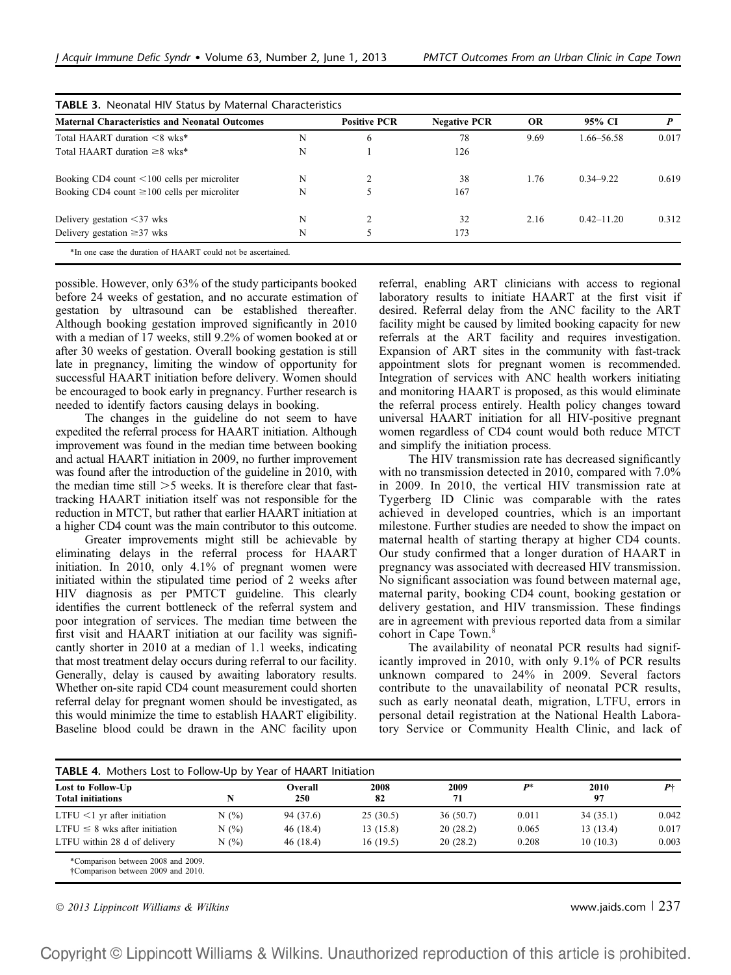| <b>Maternal Characteristics and Neonatal Outcomes</b> | <b>Positive PCR</b><br>6 | <b>Negative PCR</b><br>78 | <b>OR</b><br>9.69 | 95% CI<br>1.66–56.58 | 0.017          |       |
|-------------------------------------------------------|--------------------------|---------------------------|-------------------|----------------------|----------------|-------|
| Total HAART duration <8 wks*<br>N                     |                          |                           |                   |                      |                |       |
| Total HAART duration $\geq 8$ wks*                    | N                        |                           | 126               |                      |                |       |
| Booking CD4 count $\leq 100$ cells per microliter     | N                        |                           | 38                | 1.76                 | $0.34 - 9.22$  | 0.619 |
| Booking CD4 count $\geq 100$ cells per microliter     | N                        |                           | 167               |                      |                |       |
| Delivery gestation $\leq$ 37 wks                      | N                        | $\mathfrak{D}$            | 32                | 2.16                 | $0.42 - 11.20$ | 0.312 |
| Delivery gestation $\geq$ 37 wks                      | N                        |                           | 173               |                      |                |       |

possible. However, only 63% of the study participants booked before 24 weeks of gestation, and no accurate estimation of gestation by ultrasound can be established thereafter. Although booking gestation improved significantly in 2010 with a median of 17 weeks, still 9.2% of women booked at or after 30 weeks of gestation. Overall booking gestation is still late in pregnancy, limiting the window of opportunity for successful HAART initiation before delivery. Women should be encouraged to book early in pregnancy. Further research is needed to identify factors causing delays in booking.

The changes in the guideline do not seem to have expedited the referral process for HAART initiation. Although improvement was found in the median time between booking and actual HAART initiation in 2009, no further improvement was found after the introduction of the guideline in 2010, with the median time still  $>5$  weeks. It is therefore clear that fasttracking HAART initiation itself was not responsible for the reduction in MTCT, but rather that earlier HAART initiation at a higher CD4 count was the main contributor to this outcome.

Greater improvements might still be achievable by eliminating delays in the referral process for HAART initiation. In 2010, only 4.1% of pregnant women were initiated within the stipulated time period of 2 weeks after HIV diagnosis as per PMTCT guideline. This clearly identifies the current bottleneck of the referral system and poor integration of services. The median time between the first visit and HAART initiation at our facility was significantly shorter in 2010 at a median of 1.1 weeks, indicating that most treatment delay occurs during referral to our facility. Generally, delay is caused by awaiting laboratory results. Whether on-site rapid CD4 count measurement could shorten referral delay for pregnant women should be investigated, as this would minimize the time to establish HAART eligibility. Baseline blood could be drawn in the ANC facility upon referral, enabling ART clinicians with access to regional laboratory results to initiate HAART at the first visit if desired. Referral delay from the ANC facility to the ART facility might be caused by limited booking capacity for new referrals at the ART facility and requires investigation. Expansion of ART sites in the community with fast-track appointment slots for pregnant women is recommended. Integration of services with ANC health workers initiating and monitoring HAART is proposed, as this would eliminate the referral process entirely. Health policy changes toward universal HAART initiation for all HIV-positive pregnant women regardless of CD4 count would both reduce MTCT and simplify the initiation process.

The HIV transmission rate has decreased significantly with no transmission detected in 2010, compared with 7.0% in 2009. In 2010, the vertical HIV transmission rate at Tygerberg ID Clinic was comparable with the rates achieved in developed countries, which is an important milestone. Further studies are needed to show the impact on maternal health of starting therapy at higher CD4 counts. Our study confirmed that a longer duration of HAART in pregnancy was associated with decreased HIV transmission. No significant association was found between maternal age, maternal parity, booking CD4 count, booking gestation or delivery gestation, and HIV transmission. These findings are in agreement with previous reported data from a similar cohort in Cape Town.<sup>8</sup>

The availability of neonatal PCR results had significantly improved in 2010, with only 9.1% of PCR results unknown compared to 24% in 2009. Several factors contribute to the unavailability of neonatal PCR results, such as early neonatal death, migration, LTFU, errors in personal detail registration at the National Health Laboratory Service or Community Health Clinic, and lack of

| Lost to Follow-Up                  |      | Overall    | 2008<br>82 | 2009<br>71 | $P^*$ | 2010<br>97 | P†    |
|------------------------------------|------|------------|------------|------------|-------|------------|-------|
| <b>Total initiations</b>           |      | <b>250</b> |            |            |       |            |       |
| $LTFU < 1$ yr after initiation     | N(%) | 94 (37.6)  | 25(30.5)   | 36(50.7)   | 0.011 | 34(35.1)   | 0.042 |
| $LTFU \leq 8$ wks after initiation | N(%) | 46(18.4)   | 13(15.8)   | 20(28.2)   | 0.065 | 13(13.4)   | 0.017 |
| LTFU within 28 d of delivery       | N(%) | 46(18.4)   | 16(19.5)   | 20(28.2)   | 0.208 | 10(10.3)   | 0.003 |

 $\degree$  2013 Lippincott Williams & Wilkins www.jaids.com | 237